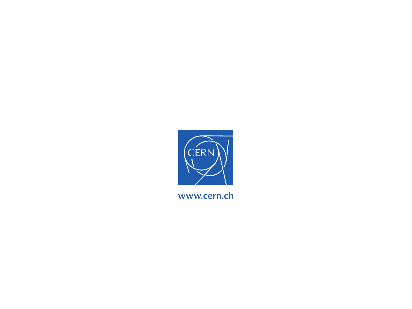

www.cern.ch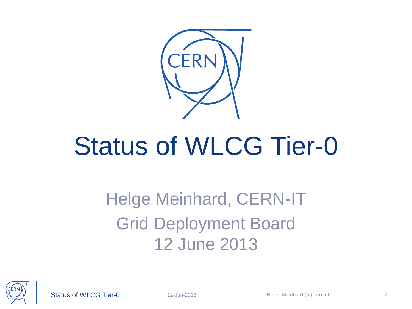

### Status of WLCG Tier-0

#### Helge Meinhard, CERN-IT Grid Deployment Board 12 June 2013



Status of WLCG Tier-0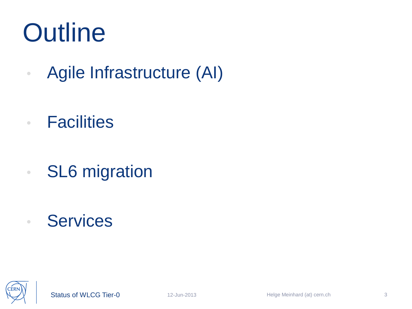#### **Outline**

- Agile Infrastructure (AI)
- Facilities
- SL6 migration
- Services

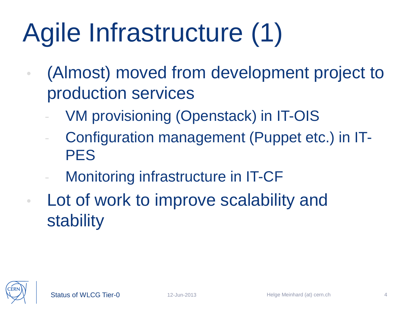## Agile Infrastructure (1)

- (Almost) moved from development project to production services
	- VM provisioning (Openstack) in IT-OIS
	- Configuration management (Puppet etc.) in IT-PES
	- Monitoring infrastructure in IT-CF
- Lot of work to improve scalability and stability

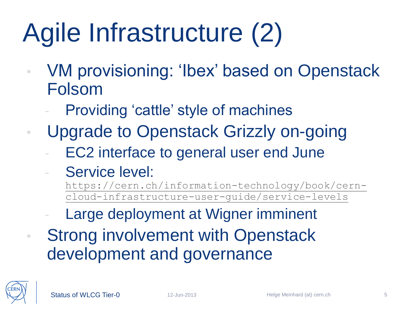## Agile Infrastructure (2)

- VM provisioning: 'Ibex' based on Openstack Folsom
	- Providing 'cattle' style of machines
- Upgrade to Openstack Grizzly on-going
	- EC2 interface to general user end June
	- Service level:
		- [https://cern.ch/information-technology/book/cern](https://cern.ch/information-technology/book/cern-cloud-infrastructure-user-guide/service-levels)[cloud-infrastructure-user-guide/service-levels](https://cern.ch/information-technology/book/cern-cloud-infrastructure-user-guide/service-levels)
	- Large deployment at Wigner imminent
	- Strong involvement with Openstack development and governance

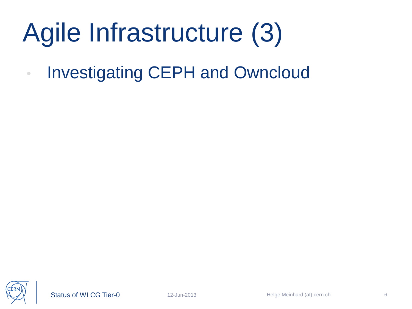## Agile Infrastructure (3)

• Investigating CEPH and Owncloud

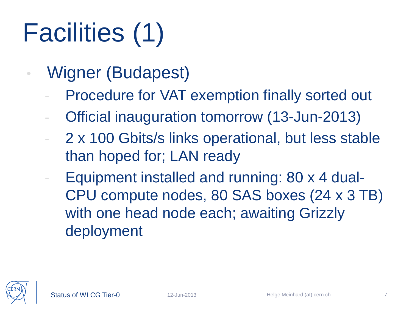# Facilities (1)

- Wigner (Budapest)
	- Procedure for VAT exemption finally sorted out
	- Official inauguration tomorrow (13-Jun-2013)
	- 2 x 100 Gbits/s links operational, but less stable than hoped for; LAN ready
	- Equipment installed and running: 80 x 4 dual-CPU compute nodes, 80 SAS boxes (24 x 3 TB) with one head node each; awaiting Grizzly deployment

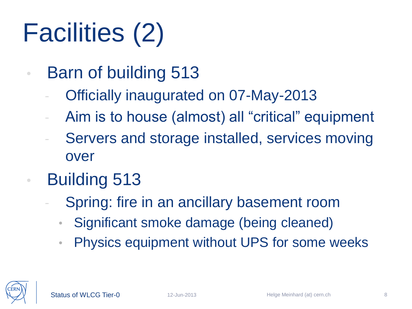# Facilities (2)

- Barn of building 513
	- Officially inaugurated on 07-May-2013
	- Aim is to house (almost) all "critical" equipment
	- Servers and storage installed, services moving over
- Building 513
	- Spring: fire in an ancillary basement room
		- Significant smoke damage (being cleaned)
	- Physics equipment without UPS for some weeks

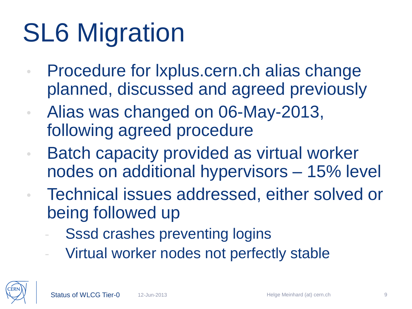## **SL6 Migration**

- Procedure for lxplus.cern.ch alias change planned, discussed and agreed previously
- Alias was changed on 06-May-2013, following agreed procedure
- Batch capacity provided as virtual worker nodes on additional hypervisors – 15% level
	- Technical issues addressed, either solved or being followed up
		- Sssd crashes preventing logins
		- Virtual worker nodes not perfectly stable

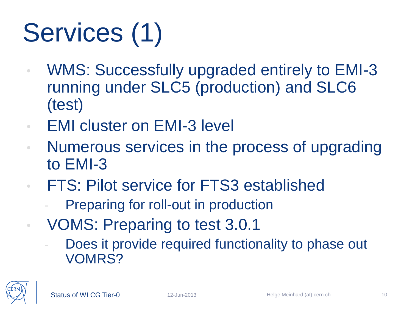# Services (1)

- WMS: Successfully upgraded entirely to EMI-3 running under SLC5 (production) and SLC6 (test)
- EMI cluster on EMI-3 level
- Numerous services in the process of upgrading to EMI-3
- FTS: Pilot service for FTS3 established
	- Preparing for roll-out in production
	- VOMS: Preparing to test 3.0.1
		- Does it provide required functionality to phase out VOMRS?

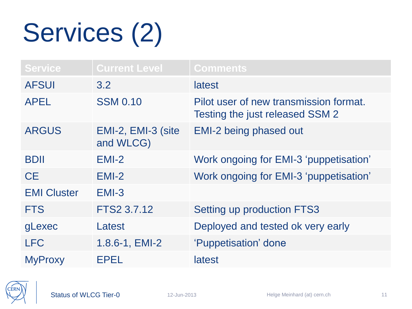## Services (2)

| <b>Service</b>     | <b>Current Level</b>            | <b>Comments</b>                                                           |
|--------------------|---------------------------------|---------------------------------------------------------------------------|
| <b>AFSUI</b>       | 3.2                             | latest                                                                    |
| <b>APEL</b>        | <b>SSM 0.10</b>                 | Pilot user of new transmission format.<br>Testing the just released SSM 2 |
| <b>ARGUS</b>       | EMI-2, EMI-3 (site<br>and WLCG) | <b>EMI-2 being phased out</b>                                             |
| <b>BDII</b>        | $EMI-2$                         | Work ongoing for EMI-3 'puppetisation'                                    |
| <b>CE</b>          | $EMI-2$                         | Work ongoing for EMI-3 'puppetisation'                                    |
| <b>EMI Cluster</b> | $EMI-3$                         |                                                                           |
| <b>FTS</b>         | FTS2 3.7.12                     | Setting up production FTS3                                                |
| gLexec             | Latest                          | Deployed and tested ok very early                                         |
| <b>LFC</b>         | 1.8.6-1, EMI-2                  | 'Puppetisation' done                                                      |
| <b>MyProxy</b>     | EPEL                            | latest                                                                    |

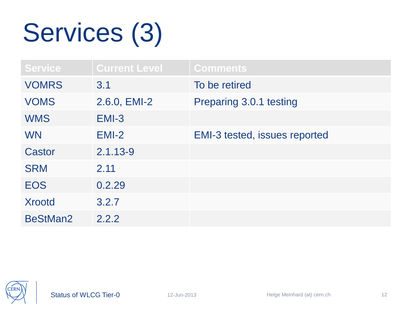## Services (3)

| <b>Service</b> | <b>Current Level</b> | <b>Comments</b>               |
|----------------|----------------------|-------------------------------|
| <b>VOMRS</b>   | 3.1                  | To be retired                 |
| <b>VOMS</b>    | 2.6.0, EMI-2         | Preparing 3.0.1 testing       |
| <b>WMS</b>     | $EMI-3$              |                               |
| <b>WN</b>      | $EMI-2$              | EMI-3 tested, issues reported |
| Castor         | $2.1.13 - 9$         |                               |
| <b>SRM</b>     | 2.11                 |                               |
| <b>EOS</b>     | 0.2.29               |                               |
| <b>Xrootd</b>  | 3.2.7                |                               |
| BeStMan2       | 2.2.2                |                               |

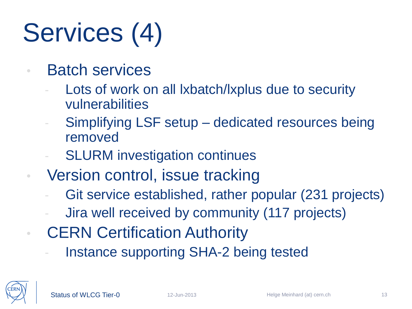# Services (4)

- Batch services
	- Lots of work on all Ixbatch/Ixplus due to security vulnerabilities
	- Simplifying LSF setup dedicated resources being removed
	- **SLURM** investigation continues
- Version control, issue tracking
	- Git service established, rather popular (231 projects)
	- Jira well received by community (117 projects)
	- **CERN Certification Authority** 
		- Instance supporting SHA-2 being tested

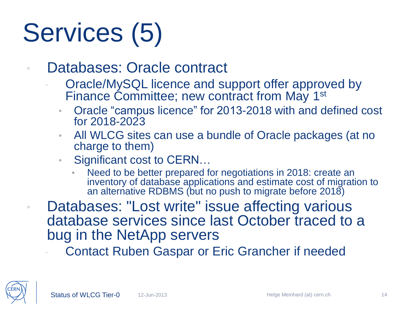# Services (5)

- Databases: Oracle contract
	- Oracle/MySQL licence and support offer approved by Finance Committee; new contract from May 1<sup>st</sup>
		- Oracle "campus licence" for 2013-2018 with and defined cost for 2018-2023
		- All WLCG sites can use a bundle of Oracle packages (at no charge to them)
		- Significant cost to CERN...
			- Need to be better prepared for negotiations in 2018: create an inventory of database applications and estimate cost of migration to an alternative RDBMS (but no push to migrate before 2018)
- Databases: "Lost write" issue affecting various database services since last October traced to a bug in the NetApp servers

Contact Ruben Gaspar or Eric Grancher if needed

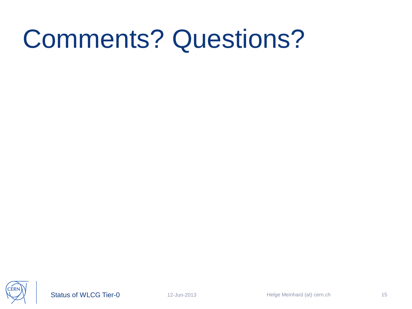#### Comments? Questions?



Status of WLCG Tier-0